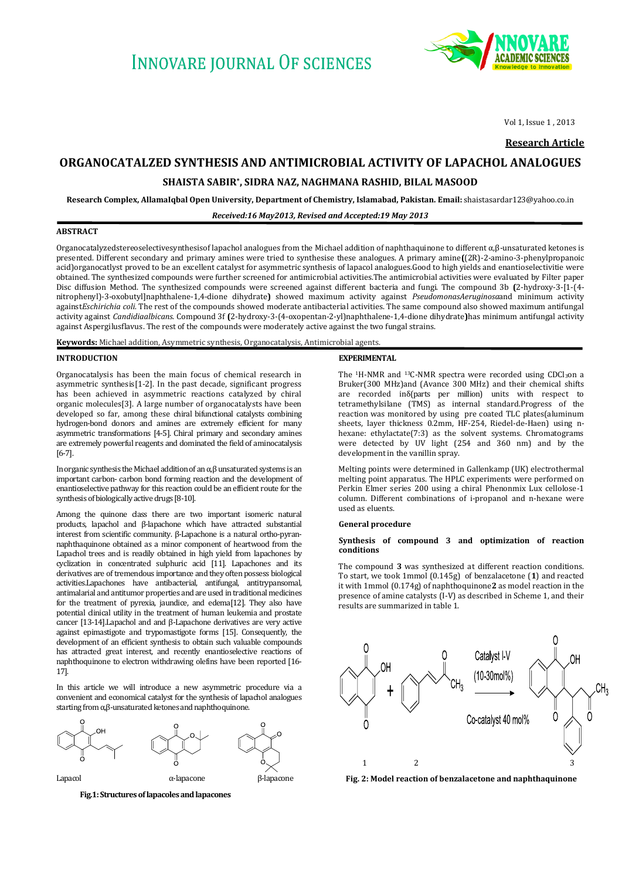# **INNOVARE IOURNAL OF SCIENCES**



Vol 1, Issue 1 , 2013

**Research Article**

## **ORGANOCATALZED SYNTHESIS AND ANTIMICROBIAL ACTIVITY OF LAPACHOL ANALOGUES**

## **SHAISTA SABIR\* , SIDRA NAZ, NAGHMANA RASHID, BILAL MASOOD**

**Research Complex, AllamaIqbal Open University, Department of Chemistry, Islamabad, Pakistan. Email:** shaistasardar123@yahoo.co.in

## *Received:16 May2013, Revised and Accepted:19 May 2013*

### **ABSTRACT**

Organocatalyzedstereoselectivesynthesisof lapachol analogues from the Michael addition of naphthaquinone to different α,β-unsaturated ketones is presented. Different secondary and primary amines were tried to synthesise these analogues. A primary amine**(**(2R)-2-amino-3-phenylpropanoic acid)organocatlyst proved to be an excellent catalyst for asymmetric synthesis of lapacol analogues.Good to high yields and enantioselectivitie were obtained. The synthesized compounds were further screened for antimicrobial activities.The antimicrobial activities were evaluated by Filter paper Disc diffusion Method. The synthesized compounds were screened against different bacteria and fungi. The compound 3b **(**2-hydroxy-3-[1-(4 nitrophenyl)-3-oxobutyl]naphthalene-1,4-dione dihydrate**)** showed maximum activity against *PseudomonasAeruginosa*and minimum activity against*Eschirichia coli.* The rest of the compounds showed moderate antibacterial activities. The same compound also showed maximum antifungal activity against *Candidiaalbicans*. Compound 3f **(**2-hydroxy-3-(4-oxopentan-2-yl)naphthalene-1,4-dione dihydrate**)**has minimum antifungal activity against Aspergilusflavus. The rest of the compounds were moderately active against the two fungal strains.

**Keywords:** Michael addition, Asymmetric synthesis, Organocatalysis, Antimicrobial agents.

## **INTRODUCTION**

Organocatalysis has been the main focus of chemical research in asymmetric synthesis[1-2]. In the past decade, significant progress has been achieved in asymmetric reactions catalyzed by chiral organic molecules[3]. A large number of organocatalysts have been developed so far, among these chiral bifunctional catalysts combining hydrogen-bond donors and amines are extremely efficient for many asymmetric transformations [4-5]. Chiral primary and secondary amines are extremely powerful reagents and dominated the field of aminocatalysis [6-7].

In organic synthesis the Michael addition of an  $\alpha$ , $\beta$  unsaturated systems is an important carbon- carbon bond forming reaction and the development of enantioselective pathway for this reaction could be an efficient route for the synthesis of biologically active drugs [8-10].

Among the quinone class there are two important isomeric natural products, lapachol and β-lapachone which have attracted substantial interest from scientific community. β-Lapachone is a natural ortho-pyrannaphthaquinone obtained as a minor component of heartwood from the Lapachol trees and is readily obtained in high yield from lapachones by cyclization in concentrated sulphuric acid [11]. Lapachones and its derivatives are of tremendous importance and they often possess biological activities.Lapachones have antibacterial, antifungal, antitrypansomal, antimalarial and antitumor properties and are used in traditional medicines for the treatment of pyrexia, jaundice, and edema[12]. They also have potential clinical utility in the treatment of human leukemia and prostate cancer [13-14].Lapachol and and β-Lapachone derivatives are very active against epimastigote and trypomastigote forms [15]. Consequently, the development of an efficient synthesis to obtain such valuable compounds has attracted great interest, and recently enantioselective reactions of naphthoquinone to electron withdrawing olefins have been reported [16- 17].

In this article we will introduce a new asymmetric procedure via a convenient and economical catalyst for the synthesis of lapachol analogues starting from α,β-unsaturated ketones and naphthoquinone.



 **Fig.1: Structures of lapacoles and lapacones**

#### **EXPERIMENTAL**

The <sup>1</sup>H-NMR and <sup>13</sup>C-NMR spectra were recorded using CDCl<sub>3</sub>on a Bruker(300 MHz)and (Avance 300 MHz) and their chemical shifts are recorded inδ(parts per million) units with respect to tetramethylsilane (TMS) as internal standard.Progress of the reaction was monitored by using pre coated TLC plates(aluminum sheets, layer thickness 0.2mm, HF-254, Riedel-de-Haen) using nhexane: ethylactate(7:3) as the solvent systems. Chromatograms were detected by UV light (254 and 360 nm) and by the development in the vanillin spray.

Melting points were determined in Gallenkamp (UK) electrothermal melting point apparatus. The HPLC experiments were performed on Perkin Elmer series 200 using a chiral Phenonmix Lux cellolose-1 column. Different combinations of i-propanol and n-hexane were used as eluents.

#### **General procedure**

## **Synthesis of compound 3 and optimization of reaction conditions**

The compound **3** was synthesized at different reaction conditions. To start, we took 1mmol (0.145g) of benzalacetone (**1**) and reacted it with 1mmol (0.174g) of naphthoquinone**2** as model reaction in the presence of amine catalysts (I-V) as described in Scheme 1, and their results are summarized in table 1.



**Fig. 2: Model reaction of benzalacetone and naphthaquinone**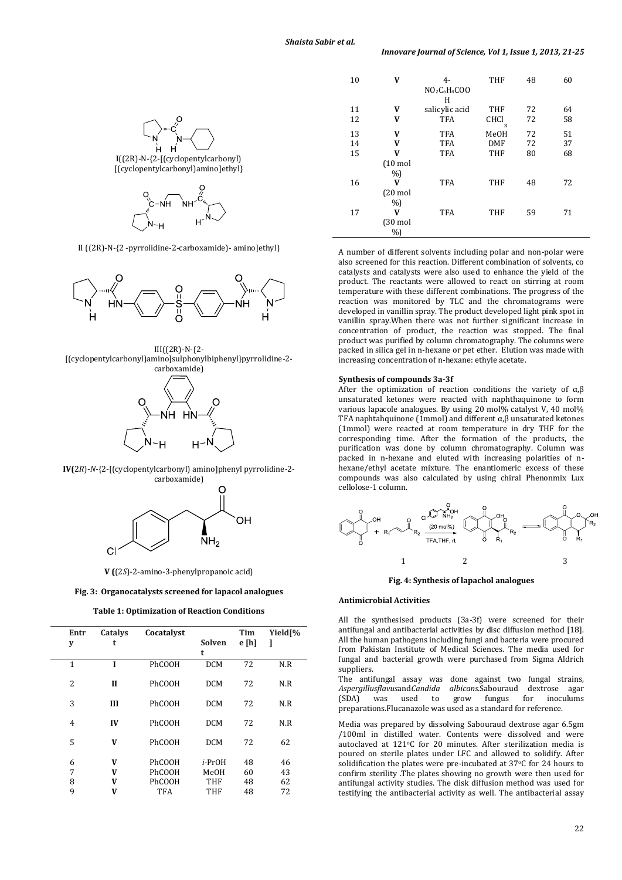



II ((2R)-N-{2 -pyrrolidine-2-carboxamide)- amino]ethyl)



III((2R)-N-{2-

[(cyclopentylcarbonyl)amino]sulphonylbiphenyl}pyrrolidine-2 carboxamide)



**IV(**2*R*)-*N*-{2-[(cyclopentylcarbonyl) amino]phenyl pyrrolidine-2 carboxamide)



**V (**(2*S*)-2-amino-3-phenylpropanoic acid)

**Fig. 3: Organocatalysts screened for lapacol analogues**

#### **Table 1: Optimization of Reaction Conditions**

| Entr<br>y      | Catalys<br>t | Cocatalyst    | Solven<br>t    | <b>Tim</b><br>e [h] | Yield <sup>[%</sup><br>J |
|----------------|--------------|---------------|----------------|---------------------|--------------------------|
| $\mathbf{1}$   | I            | PhCOOH        | <b>DCM</b>     | 72                  | N.R                      |
| $\overline{c}$ | $\mathbf{I}$ | <b>PhCOOH</b> | <b>DCM</b>     | 72                  | N.R                      |
| 3              | Ш            | <b>PhCOOH</b> | <b>DCM</b>     | 72                  | N.R                      |
| $\overline{4}$ | IV           | PhCOOH        | <b>DCM</b>     | 72                  | N.R                      |
| 5              | V            | PhCOOH        | <b>DCM</b>     | 72                  | 62                       |
| 6              | V            | PhCOOH        | <i>i</i> -PrOH | 48                  | 46                       |
| 7              | V            | PhCOOH        | MeOH           | 60                  | 43                       |
| 8              | V            | PhCOOH        | THF            | 48                  | 62                       |
| 9              | V            | TFA           | THF            | 48                  | 72                       |

| 10 | V                          | 4-<br>$NO2C6H4COO$<br>н | <b>THF</b>  | 48 | 60 |
|----|----------------------------|-------------------------|-------------|----|----|
| 11 | V                          | salicylic acid          | THF         | 72 | 64 |
| 12 | V                          | <b>TFA</b>              | CHCI<br>3   | 72 | 58 |
| 13 | V                          | <b>TFA</b>              | <b>MeOH</b> | 72 | 51 |
| 14 | V                          | <b>TFA</b>              | <b>DMF</b>  | 72 | 37 |
| 15 | V                          | <b>TFA</b>              | <b>THF</b>  | 80 | 68 |
|    | $(10 \text{ mol}$<br>%     |                         |             |    |    |
| 16 | V                          | <b>TFA</b>              | THF         | 48 | 72 |
|    | $(20 \text{ mol}$<br>$%$ ) |                         |             |    |    |
| 17 | V                          | <b>TFA</b>              | <b>THF</b>  | 59 | 71 |
|    | $(30 \text{ mol})$<br>%    |                         |             |    |    |

A number of different solvents including polar and non-polar were also screened for this reaction. Different combination of solvents, co catalysts and catalysts were also used to enhance the yield of the product. The reactants were allowed to react on stirring at room temperature with these different combinations. The progress of the reaction was monitored by TLC and the chromatograms were developed in vanillin spray. The product developed light pink spot in vanillin spray.When there was not further significant increase in concentration of product, the reaction was stopped. The final product was purified by column chromatography. The columns were packed in silica gel in n-hexane or pet ether. Elution was made with increasing concentration of n-hexane: ethyle acetate.

### **Synthesis of compounds 3a-3f**

After the optimization of reaction conditions the variety of  $\alpha$ , $\beta$ unsaturated ketones were reacted with naphthaquinone to form various lapacole analogues. By using 20 mol% catalyst V, 40 mol% TFA naphtahquinone (1mmol) and different  $\alpha$ , $\beta$  unsaturated ketones (1mmol) were reacted at room temperature in dry THF for the corresponding time. After the formation of the products, the purification was done by column chromatography. Column was packed in n-hexane and eluted with increasing polarities of nhexane/ethyl acetate mixture. The enantiomeric excess of these compounds was also calculated by using chiral Phenonmix Lux cellolose-1 column.



**Fig. 4: Synthesis of lapachol analogues**

#### **Antimicrobial Activities**

All the synthesised products (3a-3f) were screened for their antifungal and antibacterial activities by disc diffusion method [18]. All the human pathogens including fungi and bacteria were procured from Pakistan Institute of Medical Sciences. The media used for fungal and bacterial growth were purchased from Sigma Aldrich suppliers.

The antifungal assay was done against two fungal strains, *Aspergillusflavus*and*Candida albicans.*Sabouraud dextrose agar (SDA) was used to grow fungus for inoculums preparations.Flucanazole was used as a standard for reference.

Media was prepared by dissolving Sabouraud dextrose agar 6.5gm /100ml in distilled water. Contents were dissolved and were autoclaved at 121°C for 20 minutes. After sterilization media is poured on sterile plates under LFC and allowed to solidify. After solidification the plates were pre-incubated at 37°C for 24 hours to confirm sterility .The plates showing no growth were then used for antifungal activity studies. The disk diffusion method was used for testifying the antibacterial activity as well. The antibacterial assay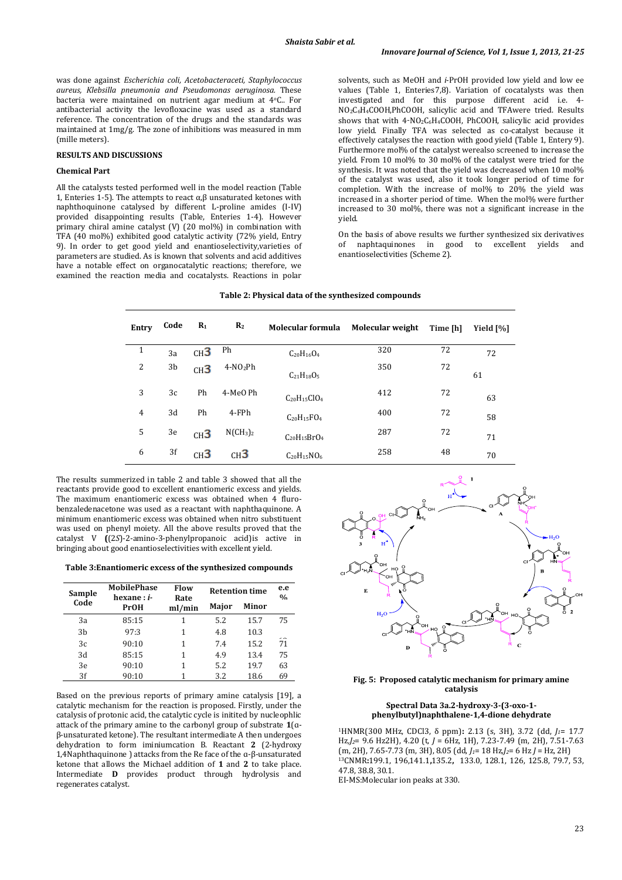was done against *Escherichia coli, Acetobacteraceti, Staphylococcus aureus, Klebsilla pneumonia and Pseudomonas aeruginosa.* These bacteria were maintained on nutrient agar medium at 4oC.. For antibacterial activity the levofloxacine was used as a standard reference. The concentration of the drugs and the standards was maintained at 1mg/g. The zone of inhibitions was measured in mm (mille meters).

## **RESULTS AND DISCUSSIONS**

## **Chemical Part**

All the catalysts tested performed well in the model reaction (Table 1, Enteries 1-5). The attempts to react α,β unsaturated ketones with naphthoquinone catalysed by different L-proline amides (I-IV) provided disappointing results (Table, Enteries 1-4). However primary chiral amine catalyst  $(V)$   $(20 \text{ mol})$  in combination with TFA (40 mol%) exhibited good catalytic activity (72% yield, Entry 9). In order to get good yield and enantioselectivity,varieties of parameters are studied. As is known that solvents and acid additives have a notable effect on organocatalytic reactions; therefore, we examined the reaction media and cocatalysts. Reactions in polar

solvents, such as MeOH and *i*-PrOH provided low yield and low ee values (Table 1, Enteries7,8). Variation of cocatalysts was then investigated and for this purpose different acid i.e. 4- NO2C6H4COOH,PhCOOH, salicylic acid and TFAwere tried. Results shows that with 4-NO2C6H4COOH, PhCOOH, salicylic acid provides low yield. Finally TFA was selected as co-catalyst because it effectively catalyses the reaction with good yield (Table 1, Entery 9). Furthermore mol% of the catalyst werealso screened to increase the yield. From 10 mol% to 30 mol% of the catalyst were tried for the synthesis. It was noted that the yield was decreased when 10 mol% of the catalyst was used, also it took longer period of time for completion. With the increase of mol% to 20% the yield was increased in a shorter period of time. When the mol% were further increased to 30 mol%, there was not a significant increase in the yield.

On the basis of above results we further synthesized six derivatives of naphtaquinones in good to excellent yields and enantioselectivities (Scheme 2).

| Table 2: Physical data of the synthesized compounds |  |  |
|-----------------------------------------------------|--|--|
|                                                     |  |  |

| Entry          | Code | $R_1$           | R <sub>2</sub>  | Molecular formula  | Molecular weight | Time [h] | Yield [%] |
|----------------|------|-----------------|-----------------|--------------------|------------------|----------|-----------|
| 1              | 3a   | CH <sup>3</sup> | Ph              | $C_{20}H_{16}O_4$  | 320              | 72       | 72        |
| 2              | 3b   | CH <sup>3</sup> | $4-NO_2Ph$      | $C_{21}H_{18}O_5$  | 350              | 72       | 61        |
| 3              | 3c   | Ph              | 4-MeO Ph        | $C_{20}H_{15}ClO4$ | 412              | 72       | 63        |
| $\overline{4}$ | 3d   | Ph              | 4-FPh           | $C_{20}H_{15}FO_4$ | 400              | 72       | 58        |
| 5              | 3e   | CH <sup>3</sup> | $N(CH_3)_2$     | $C_{20}H_{15}BrO4$ | 287              | 72       | 71        |
| 6              | 3f   | CH <sup>3</sup> | CH <sup>3</sup> | $C_{20}H_{15}NO_6$ | 258              | 48       | 70        |

The results summerized in table 2 and table 3 showed that all the reactants provide good to excellent enantiomeric excess and yields. The maximum enantiomeric excess was obtained when 4 flurobenzaledenacetone was used as a reactant with naphthaquinone. A minimum enantiomeric excess was obtained when nitro substituent was used on phenyl moiety. All the above results proved that the catalyst V **(**(2*S*)-2-amino-3-phenylpropanoic acid)is active in bringing about good enantioselectivities with excellent yield.

**Table 3:Enantiomeric excess of the synthesized compounds**

| Sample | <b>MobilePhase</b><br>hexane : <i>i</i> - | Flow<br>Rate | <b>Retention time</b> | e.e<br>0/2 |     |
|--------|-------------------------------------------|--------------|-----------------------|------------|-----|
| Code   | PrOH                                      | ml/min       | Maior                 | Minor      |     |
| 3a     | 85:15                                     | 1            | 5.2                   | 15.7       | 75  |
| 3b     | 97:3                                      | 1            | 4.8                   | 10.3       | - - |
| 3c     | 90:10                                     | 1            | 7.4                   | 15.2       | 71  |
| 3d     | 85:15                                     | 1            | 4.9                   | 13.4       | 75  |
| 3e     | 90:10                                     | 1            | 5.2                   | 19.7       | 63  |
| 3f     | 90:10                                     |              | 3.2                   | 18.6       | 69  |

Based on the previous reports of primary amine catalysis [19], a catalytic mechanism for the reaction is proposed. Firstly, under the catalysis of protonic acid, the catalytic cycle is initited by nucleophlic attack of the primary amine to the carbonyl group of substrate **1**(ɑβ-unsaturated ketone). The resultant intermediate A then undergoes dehydration to form iminiumcation B. Reactant **2** (2-hydroxy 1,4Naphthaquinone ) attacks from the Re face of the ɑ-β-unsaturated ketone that allows the Michael addition of **1** and **2** to take place. Intermediate **D** provides product through hydrolysis and regenerates catalyst.



## **Fig. 5: Proposed catalytic mechanism for primary amine catalysis**

## **Spectral Data 3a.2-hydroxy-3-(3-oxo-1 phenylbutyl)naphthalene-1,4-dione dehydrate**

<sup>1</sup>HNMR(300 MHz, CDCl3, δ ppm)**:** 2.13 (s, 3H), 3.72 (dd, *J1*= 17.7 Hz*,J2*= 9.6 Hz2H), 4.20 (t, *J* = 6Hz, 1H), 7.23-7.49 (m, 2H), 7.51-7.63 (m, 2H), 7.65-7.73 (m, 3H), 8.05 (dd, *J1*= 18 Hz*,J2*= 6 Hz *J* = Hz, 2H) <sup>13</sup>CNMR**:**199.1, 196,141.1**,**135.2**,** 133.0, 128.1, 126, 125.8, 79.7, 53, 47.8, 38.8, 30.1. EI-MS:Molecular ion peaks at 330.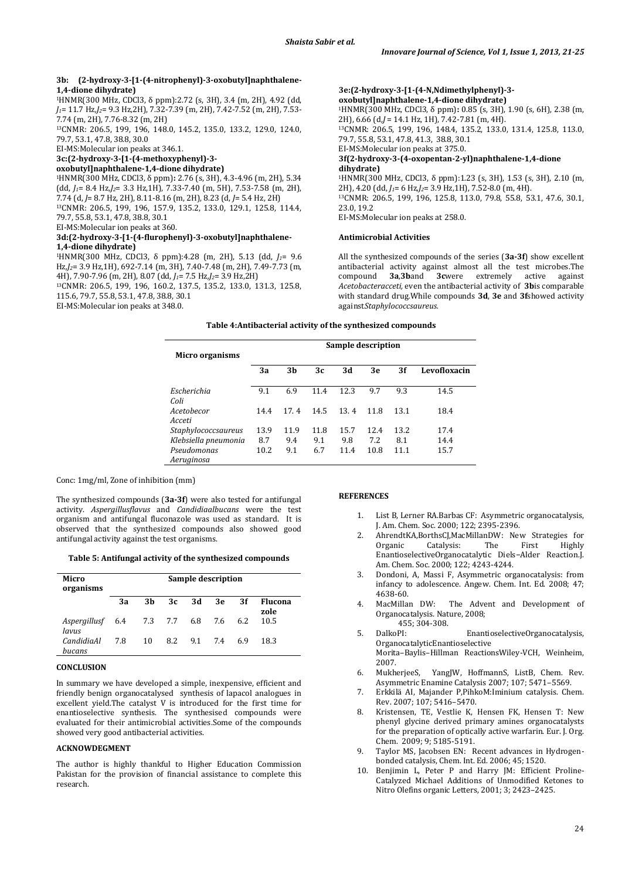## **3b: (2-hydroxy-3-[1-(4-nitrophenyl)-3-oxobutyl]naphthalene-1,4-dione dihydrate)**

<sup>1</sup>HNMR(300 MHz, CDCl3, δ ppm):2.72 (s, 3H), 3.4 (m*,* 2H), 4.92 (dd, *J1*= 11.7 Hz*,J2*= 9.3 Hz,2H), 7.32-7.39 (m, 2H), 7.42-7.52 (m, 2H), 7.53- 7.74 (m, 2H), 7.76-8.32 (m, 2H)

<sup>13</sup>CNMR: 206.5, 199, 196, 148.0, 145.2, 135.0, 133.2, 129.0, 124.0, 79.7, 53.1, 47.8, 38.8, 30.0

EI-MS:Molecular ion peaks at 346.1.

## **3c:(2-hydroxy-3-[1-(4-methoxyphenyl)-3-**

## **oxobutyl]naphthalene-1,4-dione dihydrate)**

<sup>1</sup>HNMR(300 MHz, CDCl3, δ ppm)**:** 2.76 (s, 3H), 4.3-4.96 (m, 2H), 5.34  $(dd, J_1= 8.4 \text{ Hz}, J_2= 3.3 \text{ Hz}, 1\text{H}, 7.33-7.40 \text{ (m, 5H)}, 7.53-7.58 \text{ (m, 2H)},$ 7.74 (d, *J*= 8.7 Hz, 2H), 8.11-8.16 (m, 2H), 8.23 (d, *J*= 5.4 Hz, 2H) <sup>13</sup>CNMR: 206.5, 199, 196, 157.9, 135.2, 133.0, 129.1, 125.8, 114.4, 79.7, 55.8, 53.1, 47.8, 38.8, 30.1

EI-MS:Molecular ion peaks at 360.

## **3d:(2-hydroxy-3-[1-(4-flurophenyl)-3-oxobutyl]naphthalene-1,4-dione dihydrate)**

<sup>1</sup>HNMR(300 MHz, CDCl3, δ ppm):4.28 (m, 2H), 5.13 (dd, *J1*= 9.6 Hz*,J2*= 3.9 Hz,1H), 692-7.14 (m, 3H), 7.40-7.48 (m, 2H), 7.49-7.73 (m, 4H), 7.90-7.96 (m, 2H), 8.07 (dd, *J1*= 7.5 Hz*,J2*= 3.9 Hz,2H)

<sup>13</sup>CNMR: 206.5, 199, 196, 160.2, 137.5, 135.2, 133.0, 131.3, 125.8, 115.6, 79.7, 55.8, 53.1, 47.8, 38.8, 30.1

EI-MS:Molecular ion peaks at 348.0.

**3e:(2-hydroxy-3-[1-(4-N,Ndimethylphenyl)-3 oxobutyl]naphthalene-1,4-dione dihydrate)** <sup>1</sup>HNMR(300 MHz, CDCl3, δ ppm)**:** 0.85 (s, 3H), 1.90 (s, 6H), 2.38 (m, 2H), 6.66 (d,*J* = 14.1 Hz, 1H), 7.42-7.81 (m, 4H). <sup>13</sup>CNMR: 206.5, 199, 196, 148.4, 135.2, 133.0, 131.4, 125.8, 113.0, 79.7, 55.8, 53.1, 47.8, 41.3, 38.8, 30.1 EI-MS:Molecular ion peaks at 375.0. **3f(2-hydroxy-3-(4-oxopentan-2-yl)naphthalene-1,4-dione dihydrate)** <sup>1</sup>HNMR(300 MHz, CDCl3, δ ppm):1.23 (s, 3H), 1.53 (s, 3H), 2.10 (m, 2H), 4.20 (dd, *J1*= 6 Hz*,J2*= 3.9 Hz,1H), 7.52-8.0 (m, 4H). <sup>13</sup>CNMR: 206.5, 199, 196, 125.8, 113.0, 79.8, 55.8, 53.1, 47.6, 30.1, 23.0, 19.2 EI-MS:Molecular ion peaks at 258.0.

#### **Antimicrobial Activities**

All the synthesized compounds of the series (**3a-3f**) show excellent antibacterial activity against almost all the test microbes.<br>The compound 3a.3band 3cwere extremely active against compound **3a**,**3b**and **3c**were extremely active against *Acetobacteracceti,* even the antibacterial activity of **3b**is comparable with standard drug*.*While compounds **3d**, **3e** and **3f**showed activity against*Staphylococcsaureus.*

## **Table 4:Antibacterial activity of the synthesized compounds**

| Sample description   |      |                |      |      |      |      |              |
|----------------------|------|----------------|------|------|------|------|--------------|
| Micro organisms      |      |                |      |      |      |      |              |
|                      | 3a   | 3 <sub>b</sub> | 3c   | 3d   | 3e   | 3f   | Levofloxacin |
|                      |      |                |      |      |      |      |              |
| Escherichia          | 9.1  | 6.9            | 11.4 | 12.3 | 9.7  | 9.3  | 14.5         |
| Coli                 |      |                |      |      |      |      |              |
| Acetobecor           | 14.4 | 17.4           | 14.5 | 13.4 | 11.8 | 13.1 | 18.4         |
| Acceti               |      |                |      |      |      |      |              |
| Staphylococcsaureus  | 13.9 | 11.9           | 11.8 | 15.7 | 12.4 | 13.2 | 17.4         |
| Klebsiella pneumonia | 8.7  | 9.4            | 9.1  | 9.8  | 7.2  | 8.1  | 14.4         |
| Pseudomonas          | 10.2 | 9.1            | 6.7  | 11.4 | 10.8 | 11.1 | 15.7         |
| Aeruginosa           |      |                |      |      |      |      |              |

Conc: 1mg/ml, Zone of inhibition (mm)

The synthesized compounds (**3a-3f**) were also tested for antifungal activity. *Aspergillusflavus* and *Candidiaalbucans* were the test organism and antifungal fluconazole was used as standard. It is observed that the synthesized compounds also showed good antifungal activity against the test organisms.

**Table 5: Antifungal activity of the synthesized compounds**

| Micro<br>organisms                    | Sample description |    |     |         |     |     |                 |
|---------------------------------------|--------------------|----|-----|---------|-----|-----|-----------------|
|                                       | 3a                 | 3b | -3с | - 3d    | 3e  | -3f | Flucona<br>zole |
| Aspergillusf 6.4 7.3 7.7 6.8<br>lavus |                    |    |     |         | 7.6 | 6.2 | 10.5            |
| CandidiaAl<br>bucans                  | 7.8                | 10 | 8.2 | 9.1 7.4 |     | 6.9 | 18.3            |

## **CONCLUSION**

In summary we have developed a simple, inexpensive, efficient and friendly benign organocatalysed synthesis of lapacol analogues in excellent yield.The catalyst V is introduced for the first time for enantioselective synthesis. The synthesised compounds were evaluated for their antimicrobial activities.Some of the compounds showed very good antibacterial activities.

## **ACKNOWDEGMENT**

The author is highly thankful to Higher Education Commission Pakistan for the provision of financial assistance to complete this research.

## **REFERENCES**

- 1. List B, Lerner RA.Barbas CF: Asymmetric organocatalysis, J. Am. Chem. Soc. 2000; 122; 2395-2396.
- 2. AhrendtKA,BorthsCJ,MacMillanDW: New Strategies for Organic Catalysis:  The First Highly EnantioselectiveOrganocatalytic Diels−Alder Reaction.J. Am. Chem. Soc. 2000; 122; 4243-4244.
- 3. Dondoni, A, Massi F, Asymmetric organocatalysis: from infancy to adolescence. Angew. Chem. Int. Ed. 2008; 47; 4638-60.
- 4. MacMillan DW: The Advent and Development of Organocatalysis. Nature, 2008;
- 455; 304-308.<br>DalkoPI: 5. DalkoPI: EnantioselectiveOrganocatalysis, OrganocatalyticEnantioselective Morita–Baylis–Hillman ReactionsWiley-VCH, Weinheim,
- 2007.<br>MukherjeeS, 6. MukherjeeS, YangJW, HoffmannS, ListB, Chem. Rev.
- Asymmetric Enamine Catalysis 2007; 107; 5471–5569. 7. Erkkilä AI, Majander P,PihkoM:Iminium catalysis. Chem. Rev. 2007; 107; 5416–5470.
- 8. Kristensen, TE, Vestlie K, Hensen FK, Hensen T: New phenyl glycine derived primary amines organocatalysts for the preparation of optically active warfarin. Eur. J. Org. Chem. 2009; 9; 5185-5191.
- 9. Taylor MS, Jacobsen EN: Recent advances in Hydrogenbonded catalysis, Chem. Int. Ed. 2006; 45; 1520.
- 10. Benjimin L, Peter P and Harry JM: Efficient Proline-Catalyzed Michael Additions of Unmodified Ketones to Nitro Olefins organic Letters, 2001; 3; 2423–2425.